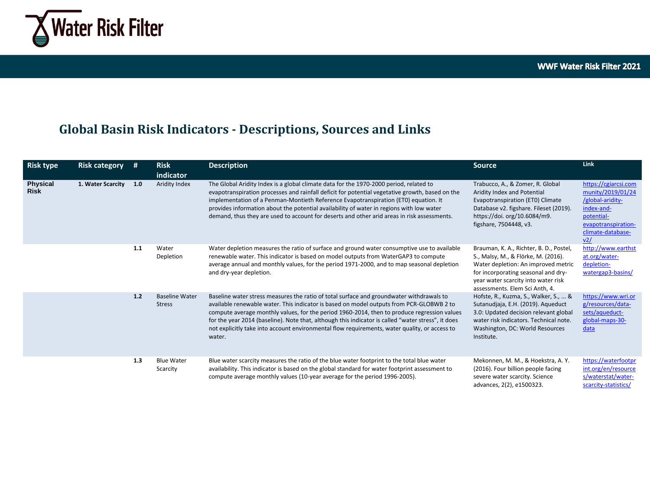

## **Global Basin Risk Indicators - Descriptions, Sources and Links**

| <b>Risk type</b>               | <b>Risk category</b> | #   | <b>Risk</b><br>indicator               | <b>Description</b>                                                                                                                                                                                                                                                                                                                                                                                                                                                                                   | <b>Source</b>                                                                                                                                                                                                                         | Link                                                                                                                                         |
|--------------------------------|----------------------|-----|----------------------------------------|------------------------------------------------------------------------------------------------------------------------------------------------------------------------------------------------------------------------------------------------------------------------------------------------------------------------------------------------------------------------------------------------------------------------------------------------------------------------------------------------------|---------------------------------------------------------------------------------------------------------------------------------------------------------------------------------------------------------------------------------------|----------------------------------------------------------------------------------------------------------------------------------------------|
| <b>Physical</b><br><b>Risk</b> | 1. Water Scarcity    | 1.0 | Aridity Index                          | The Global Aridity Index is a global climate data for the 1970-2000 period, related to<br>evapotranspiration processes and rainfall deficit for potential vegetative growth, based on the<br>implementation of a Penman-Montieth Reference Evapotranspiration (ET0) equation. It<br>provides information about the potential availability of water in regions with low water<br>demand, thus they are used to account for deserts and other arid areas in risk assessments.                          | Trabucco, A., & Zomer, R. Global<br>Aridity Index and Potential<br>Evapotranspiration (ET0) Climate<br>Database v2. figshare. Fileset (2019).<br>https://doi.org/10.6084/m9.<br>figshare, 7504448, v3.                                | https://cgiarcsi.com<br>munity/2019/01/24<br>/global-aridity-<br>index-and-<br>potential-<br>evapotranspiration-<br>climate-database-<br>v2/ |
|                                |                      | 1.1 | Water<br>Depletion                     | Water depletion measures the ratio of surface and ground water consumptive use to available<br>renewable water. This indicator is based on model outputs from WaterGAP3 to compute<br>average annual and monthly values, for the period 1971-2000, and to map seasonal depletion<br>and dry-year depletion.                                                                                                                                                                                          | Brauman, K. A., Richter, B. D., Postel,<br>S., Malsy, M., & Flörke, M. (2016).<br>Water depletion: An improved metric<br>for incorporating seasonal and dry-<br>year water scarcity into water risk<br>assessments. Elem Sci Anth. 4. | http://www.earthst<br>at.org/water-<br>depletion-<br>watergap3-basins/                                                                       |
|                                |                      | 1.2 | <b>Baseline Water</b><br><b>Stress</b> | Baseline water stress measures the ratio of total surface and groundwater withdrawals to<br>available renewable water. This indicator is based on model outputs from PCR-GLOBWB 2 to<br>compute average monthly values, for the period 1960-2014, then to produce regression values<br>for the year 2014 (baseline). Note that, although this indicator is called "water stress", it does<br>not explicitly take into account environmental flow requirements, water quality, or access to<br>water. | Hofste, R., Kuzma, S., Walker, S.,  &<br>Sutanudjaja, E.H. (2019). Aqueduct<br>3.0: Updated decision relevant global<br>water risk indicators. Technical note.<br>Washington, DC: World Resources<br>Institute.                       | https://www.wri.or<br>g/resources/data-<br>sets/aqueduct-<br>global-maps-30-<br>data                                                         |
|                                |                      | 1.3 | <b>Blue Water</b><br>Scarcity          | Blue water scarcity measures the ratio of the blue water footprint to the total blue water<br>availability. This indicator is based on the global standard for water footprint assessment to<br>compute average monthly values (10-year average for the period 1996-2005).                                                                                                                                                                                                                           | Mekonnen, M. M., & Hoekstra, A. Y.<br>(2016). Four billion people facing<br>severe water scarcity. Science<br>advances, 2(2), e1500323.                                                                                               | https://waterfootpr<br>int.org/en/resource<br>s/waterstat/water-<br>scarcity-statistics/                                                     |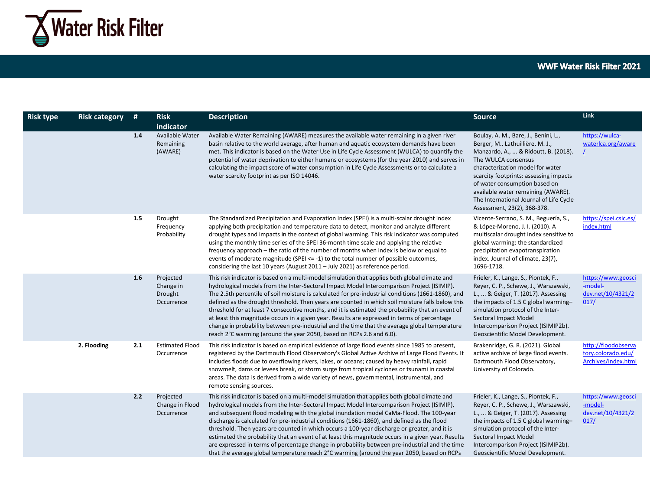

| <b>Risk type</b> | <b>Risk category</b> | #   | <b>Risk</b><br>indicator                        | <b>Description</b>                                                                                                                                                                                                                                                                                                                                                                                                                                                                                                                                                                                                                                                                                                                                                                          | <b>Source</b>                                                                                                                                                                                                                                                                                                                                                          | Link                                                             |
|------------------|----------------------|-----|-------------------------------------------------|---------------------------------------------------------------------------------------------------------------------------------------------------------------------------------------------------------------------------------------------------------------------------------------------------------------------------------------------------------------------------------------------------------------------------------------------------------------------------------------------------------------------------------------------------------------------------------------------------------------------------------------------------------------------------------------------------------------------------------------------------------------------------------------------|------------------------------------------------------------------------------------------------------------------------------------------------------------------------------------------------------------------------------------------------------------------------------------------------------------------------------------------------------------------------|------------------------------------------------------------------|
|                  |                      | 1.4 | Available Water<br>Remaining<br>(AWARE)         | Available Water Remaining (AWARE) measures the available water remaining in a given river<br>basin relative to the world average, after human and aquatic ecosystem demands have been<br>met. This indicator is based on the Water Use in Life Cycle Assessment (WULCA) to quantify the<br>potential of water deprivation to either humans or ecosystems (for the year 2010) and serves in<br>calculating the impact score of water consumption in Life Cycle Assessments or to calculate a<br>water scarcity footprint as per ISO 14046.                                                                                                                                                                                                                                                   | Boulay, A. M., Bare, J., Benini, L.,<br>Berger, M., Lathuillière, M. J.,<br>Manzardo, A.,  & Ridoutt, B. (2018).<br>The WULCA consensus<br>characterization model for water<br>scarcity footprints: assessing impacts<br>of water consumption based on<br>available water remaining (AWARE).<br>The International Journal of Life Cycle<br>Assessment, 23(2), 368-378. | https://wulca-<br>waterlca.org/aware                             |
|                  |                      | 1.5 | Drought<br>Frequency<br>Probability             | The Standardized Precipitation and Evaporation Index (SPEI) is a multi-scalar drought index<br>applying both precipitation and temperature data to detect, monitor and analyze different<br>drought types and impacts in the context of global warming. This risk indicator was computed<br>using the monthly time series of the SPEI 36-month time scale and applying the relative<br>frequency approach – the ratio of the number of months when index is below or equal to<br>events of moderate magnitude (SPEI $<= -1$ ) to the total number of possible outcomes,<br>considering the last 10 years (August 2011 - July 2021) as reference period.                                                                                                                                     | Vicente-Serrano, S. M., Beguería, S.,<br>& López-Moreno, J. I. (2010). A<br>multiscalar drought index sensitive to<br>global warming: the standardized<br>precipitation evapotranspiration<br>index. Journal of climate, 23(7),<br>1696-1718.                                                                                                                          | https://spei.csic.es/<br>index.html                              |
|                  |                      | 1.6 | Projected<br>Change in<br>Drought<br>Occurrence | This risk indicator is based on a multi-model simulation that applies both global climate and<br>hydrological models from the Inter-Sectoral Impact Model Intercomparison Project (ISIMIP).<br>The 2.5th percentile of soil moisture is calculated for pre-industrial conditions (1661-1860), and<br>defined as the drought threshold. Then years are counted in which soil moisture falls below this<br>threshold for at least 7 consecutive months, and it is estimated the probability that an event of<br>at least this magnitude occurs in a given year. Results are expressed in terms of percentage<br>change in probability between pre-industrial and the time that the average global temperature<br>reach 2°C warming (around the year 2050, based on RCPs 2.6 and 6.0).         | Frieler, K., Lange, S., Piontek, F.,<br>Reyer, C. P., Schewe, J., Warszawski,<br>L.,  & Geiger, T. (2017). Assessing<br>the impacts of 1.5 C global warming-<br>simulation protocol of the Inter-<br>Sectoral Impact Model<br>Intercomparison Project (ISIMIP2b).<br>Geoscientific Model Development.                                                                  | https://www.geosci<br>-model-<br>dev.net/10/4321/2<br>017/       |
|                  | 2. Flooding          | 2.1 | <b>Estimated Flood</b><br>Occurrence            | This risk indicator is based on empirical evidence of large flood events since 1985 to present,<br>registered by the Dartmouth Flood Observatory's Global Active Archive of Large Flood Events. It<br>includes floods due to overflowing rivers, lakes, or oceans; caused by heavy rainfall, rapid<br>snowmelt, dams or levees break, or storm surge from tropical cyclones or tsunami in coastal<br>areas. The data is derived from a wide variety of news, governmental, instrumental, and<br>remote sensing sources.                                                                                                                                                                                                                                                                     | Brakenridge, G. R. (2021). Global<br>active archive of large flood events.<br>Dartmouth Flood Observatory,<br>University of Colorado.                                                                                                                                                                                                                                  | http://floodobserva<br>tory.colorado.edu/<br>Archives/index.html |
|                  |                      | 2.2 | Projected<br>Change in Flood<br>Occurrence      | This risk indicator is based on a multi-model simulation that applies both global climate and<br>hydrological models from the Inter-Sectoral Impact Model Intercomparison Project (ISIMIP),<br>and subsequent flood modeling with the global inundation model CaMa-Flood. The 100-year<br>discharge is calculated for pre-industrial conditions (1661-1860), and defined as the flood<br>threshold. Then years are counted in which occurs a 100-year discharge or greater, and it is<br>estimated the probability that an event of at least this magnitude occurs in a given year. Results<br>are expressed in terms of percentage change in probability between pre-industrial and the time<br>that the average global temperature reach 2°C warming (around the year 2050, based on RCPs | Frieler, K., Lange, S., Piontek, F.,<br>Reyer, C. P., Schewe, J., Warszawski,<br>L.,  & Geiger, T. (2017). Assessing<br>the impacts of 1.5 C global warming-<br>simulation protocol of the Inter-<br>Sectoral Impact Model<br>Intercomparison Project (ISIMIP2b).<br>Geoscientific Model Development.                                                                  | https://www.geosci<br>-model-<br>dev.net/10/4321/2<br>017/       |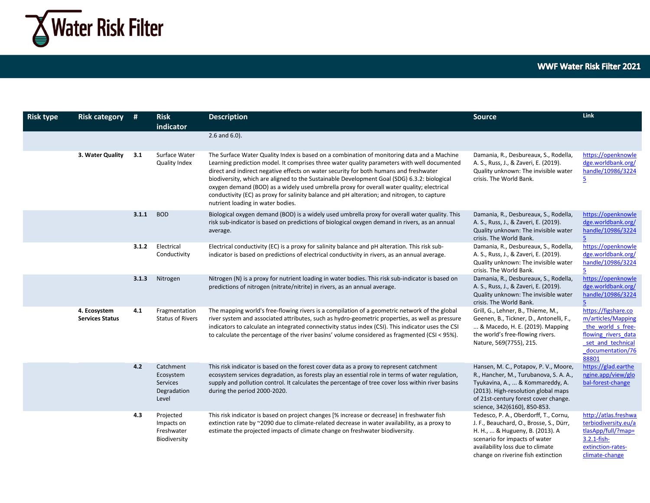

| <b>Risk type</b> | <b>Risk category</b>                   | #     | <b>Risk</b><br>indicator                                          | <b>Description</b>                                                                                                                                                                                                                                                                                                                                                                                                                                                                                                                                                                                                 | <b>Source</b>                                                                                                                                                                                                                      | <b>Link</b>                                                                                                                             |
|------------------|----------------------------------------|-------|-------------------------------------------------------------------|--------------------------------------------------------------------------------------------------------------------------------------------------------------------------------------------------------------------------------------------------------------------------------------------------------------------------------------------------------------------------------------------------------------------------------------------------------------------------------------------------------------------------------------------------------------------------------------------------------------------|------------------------------------------------------------------------------------------------------------------------------------------------------------------------------------------------------------------------------------|-----------------------------------------------------------------------------------------------------------------------------------------|
|                  |                                        |       |                                                                   | $2.6$ and $6.0$ ).                                                                                                                                                                                                                                                                                                                                                                                                                                                                                                                                                                                                 |                                                                                                                                                                                                                                    |                                                                                                                                         |
|                  | 3. Water Quality                       | 3.1   | Surface Water<br><b>Quality Index</b>                             | The Surface Water Quality Index is based on a combination of monitoring data and a Machine<br>Learning prediction model. It comprises three water quality parameters with well documented<br>direct and indirect negative effects on water security for both humans and freshwater<br>biodiversity, which are aligned to the Sustainable Development Goal (SDG) 6.3.2: biological<br>oxygen demand (BOD) as a widely used umbrella proxy for overall water quality; electrical<br>conductivity (EC) as proxy for salinity balance and pH alteration; and nitrogen, to capture<br>nutrient loading in water bodies. | Damania, R., Desbureaux, S., Rodella,<br>A. S., Russ, J., & Zaveri, E. (2019).<br>Quality unknown: The invisible water<br>crisis. The World Bank.                                                                                  | https://openknowle<br>dge.worldbank.org/<br>handle/10986/3224<br>$\overline{5}$                                                         |
|                  |                                        | 3.1.1 | <b>BOD</b>                                                        | Biological oxygen demand (BOD) is a widely used umbrella proxy for overall water quality. This<br>risk sub-indicator is based on predictions of biological oxygen demand in rivers, as an annual<br>average.                                                                                                                                                                                                                                                                                                                                                                                                       | Damania, R., Desbureaux, S., Rodella,<br>A. S., Russ, J., & Zaveri, E. (2019).<br>Quality unknown: The invisible water<br>crisis. The World Bank.                                                                                  | https://openknowle<br>dge.worldbank.org/<br>handle/10986/3224<br>5                                                                      |
|                  |                                        | 3.1.2 | Electrical<br>Conductivity                                        | Electrical conductivity (EC) is a proxy for salinity balance and pH alteration. This risk sub-<br>indicator is based on predictions of electrical conductivity in rivers, as an annual average.                                                                                                                                                                                                                                                                                                                                                                                                                    | Damania, R., Desbureaux, S., Rodella,<br>A. S., Russ, J., & Zaveri, E. (2019).<br>Quality unknown: The invisible water<br>crisis. The World Bank.                                                                                  | https://openknowle<br>dge.worldbank.org/<br>handle/10986/3224<br>5                                                                      |
|                  |                                        | 3.1.3 | Nitrogen                                                          | Nitrogen (N) is a proxy for nutrient loading in water bodies. This risk sub-indicator is based on<br>predictions of nitrogen (nitrate/nitrite) in rivers, as an annual average.                                                                                                                                                                                                                                                                                                                                                                                                                                    | Damania, R., Desbureaux, S., Rodella,<br>A. S., Russ, J., & Zaveri, E. (2019).<br>Quality unknown: The invisible water<br>crisis. The World Bank.                                                                                  | https://openknowle<br>dge.worldbank.org/<br>handle/10986/3224<br>5                                                                      |
|                  | 4. Ecosystem<br><b>Services Status</b> | 4.1   | Fragmentation<br><b>Status of Rivers</b>                          | The mapping world's free-flowing rivers is a compilation of a geometric network of the global<br>river system and associated attributes, such as hydro-geometric properties, as well as pressure<br>indicators to calculate an integrated connectivity status index (CSI). This indicator uses the CSI<br>to calculate the percentage of the river basins' volume considered as fragmented (CSI < 95%).                                                                                                                                                                                                            | Grill, G., Lehner, B., Thieme, M.,<br>Geenen, B., Tickner, D., Antonelli, F.,<br>& Macedo, H. E. (2019). Mapping<br>the world's free-flowing rivers.<br>Nature, 569(7755), 215.                                                    | https://figshare.co<br>m/articles/Mapping<br>the world s free-<br>flowing rivers data<br>set and technical<br>documentation/76<br>88801 |
|                  |                                        | 4.2   | Catchment<br>Ecosystem<br><b>Services</b><br>Degradation<br>Level | This risk indicator is based on the forest cover data as a proxy to represent catchment<br>ecosystem services degradation, as forests play an essential role in terms of water regulation,<br>supply and pollution control. It calculates the percentage of tree cover loss within river basins<br>during the period 2000-2020.                                                                                                                                                                                                                                                                                    | Hansen, M. C., Potapov, P. V., Moore,<br>R., Hancher, M., Turubanova, S. A. A.,<br>Tyukavina, A.,  & Kommareddy, A.<br>(2013). High-resolution global maps<br>of 21st-century forest cover change.<br>science, 342(6160), 850-853. | https://glad.earthe<br>ngine.app/view/glo<br>bal-forest-change                                                                          |
|                  |                                        | 4.3   | Projected<br>Impacts on<br>Freshwater<br>Biodiversity             | This risk indicator is based on project changes [% increase or decrease] in freshwater fish<br>extinction rate by ~2090 due to climate-related decrease in water availability, as a proxy to<br>estimate the projected impacts of climate change on freshwater biodiversity.                                                                                                                                                                                                                                                                                                                                       | Tedesco, P. A., Oberdorff, T., Cornu,<br>J. F., Beauchard, O., Brosse, S., Dürr,<br>H. H.,  & Hugueny, B. (2013). A<br>scenario for impacts of water<br>availability loss due to climate<br>change on riverine fish extinction     | http://atlas.freshwa<br>terbiodiversity.eu/a<br>tlasApp/full/?map=<br>3.2.1-fish-<br>extinction-rates-<br>climate-change                |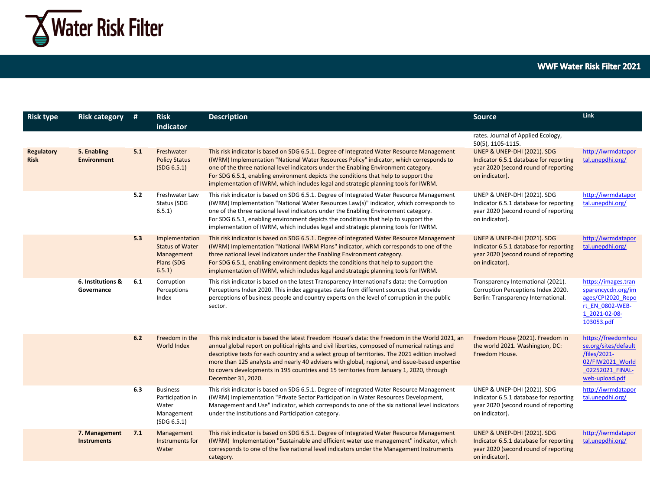

| <b>Risk type</b>          | <b>Risk category</b>                | #   | <b>Risk</b><br>indicator                                                      | <b>Description</b>                                                                                                                                                                                                                                                                                                                                                                                                                                                                                                        | <b>Source</b>                                                                                                                              | <b>Link</b>                                                                                                         |
|---------------------------|-------------------------------------|-----|-------------------------------------------------------------------------------|---------------------------------------------------------------------------------------------------------------------------------------------------------------------------------------------------------------------------------------------------------------------------------------------------------------------------------------------------------------------------------------------------------------------------------------------------------------------------------------------------------------------------|--------------------------------------------------------------------------------------------------------------------------------------------|---------------------------------------------------------------------------------------------------------------------|
|                           |                                     |     |                                                                               |                                                                                                                                                                                                                                                                                                                                                                                                                                                                                                                           | rates. Journal of Applied Ecology,<br>50(5), 1105-1115.                                                                                    |                                                                                                                     |
| Regulatory<br><b>Risk</b> | 5. Enabling<br><b>Environment</b>   | 5.1 | Freshwater<br><b>Policy Status</b><br>(SDG 6.5.1)                             | This risk indicator is based on SDG 6.5.1. Degree of Integrated Water Resource Management<br>(IWRM) Implementation "National Water Resources Policy" indicator, which corresponds to<br>one of the three national level indicators under the Enabling Environment category.<br>For SDG 6.5.1, enabling environment depicts the conditions that help to support the<br>implementation of IWRM, which includes legal and strategic planning tools for IWRM.                                                                 | <b>UNEP &amp; UNEP-DHI (2021). SDG</b><br>Indicator 6.5.1 database for reporting<br>year 2020 (second round of reporting<br>on indicator). | http://iwrmdatapor<br>tal.unepdhi.org/                                                                              |
|                           |                                     | 5.2 | Freshwater Law<br>Status (SDG<br>6.5.1)                                       | This risk indicator is based on SDG 6.5.1. Degree of Integrated Water Resource Management<br>(IWRM) Implementation "National Water Resources Law(s)" indicator, which corresponds to<br>one of the three national level indicators under the Enabling Environment category.<br>For SDG 6.5.1, enabling environment depicts the conditions that help to support the<br>implementation of IWRM, which includes legal and strategic planning tools for IWRM.                                                                 | UNEP & UNEP-DHI (2021). SDG<br>Indicator 6.5.1 database for reporting<br>year 2020 (second round of reporting<br>on indicator).            | http://iwrmdatapor<br>tal.unepdhi.org/                                                                              |
|                           |                                     | 5.3 | Implementation<br><b>Status of Water</b><br>Management<br>Plans (SDG<br>6.5.1 | This risk indicator is based on SDG 6.5.1. Degree of Integrated Water Resource Management<br>(IWRM) Implementation "National IWRM Plans" indicator, which corresponds to one of the<br>three national level indicators under the Enabling Environment category.<br>For SDG 6.5.1, enabling environment depicts the conditions that help to support the<br>implementation of IWRM, which includes legal and strategic planning tools for IWRM.                                                                             | <b>UNEP &amp; UNEP-DHI (2021). SDG</b><br>Indicator 6.5.1 database for reporting<br>year 2020 (second round of reporting<br>on indicator). | http://iwrmdatapor<br>tal.unepdhi.org/                                                                              |
|                           | 6. Institutions &<br>Governance     | 6.1 | Corruption<br>Perceptions<br>Index                                            | This risk indicator is based on the latest Transparency International's data: the Corruption<br>Perceptions Index 2020. This index aggregates data from different sources that provide<br>perceptions of business people and country experts on the level of corruption in the public<br>sector.                                                                                                                                                                                                                          | Transparency International (2021).<br>Corruption Perceptions Index 2020.<br>Berlin: Transparency International.                            | https://images.tran<br>sparencycdn.org/im<br>ages/CPI2020 Repo<br>rt EN 0802-WEB-<br>1 2021-02-08-<br>103053.pdf    |
|                           |                                     | 6.2 | Freedom in the<br>World Index                                                 | This risk indicator is based the latest Freedom House's data: the Freedom in the World 2021, an<br>annual global report on political rights and civil liberties, composed of numerical ratings and<br>descriptive texts for each country and a select group of territories. The 2021 edition involved<br>more than 125 analysts and nearly 40 advisers with global, regional, and issue-based expertise<br>to covers developments in 195 countries and 15 territories from January 1, 2020, through<br>December 31, 2020. | Freedom House (2021). Freedom in<br>the world 2021. Washington, DC:<br>Freedom House.                                                      | https://freedomhou<br>se.org/sites/default<br>/files/2021-<br>02/FIW2021 World<br>02252021 FINAL-<br>web-upload.pdf |
|                           |                                     | 6.3 | <b>Business</b><br>Participation in<br>Water<br>Management<br>(SDG 6.5.1)     | This risk indicator is based on SDG 6.5.1. Degree of Integrated Water Resource Management<br>(IWRM) Implementation "Private Sector Participation in Water Resources Development,<br>Management and Use" indicator, which corresponds to one of the six national level indicators<br>under the Institutions and Participation category.                                                                                                                                                                                    | UNEP & UNEP-DHI (2021). SDG<br>Indicator 6.5.1 database for reporting<br>year 2020 (second round of reporting<br>on indicator).            | http://iwrmdatapor<br>tal.unepdhi.org/                                                                              |
|                           | 7. Management<br><b>Instruments</b> | 7.1 | Management<br>Instruments for<br>Water                                        | This risk indicator is based on SDG 6.5.1. Degree of Integrated Water Resource Management<br>(IWRM) Implementation "Sustainable and efficient water use management" indicator, which<br>corresponds to one of the five national level indicators under the Management Instruments<br>category.                                                                                                                                                                                                                            | UNEP & UNEP-DHI (2021). SDG<br>Indicator 6.5.1 database for reporting<br>year 2020 (second round of reporting<br>on indicator).            | http://iwrmdatapor<br>tal.unepdhi.org/                                                                              |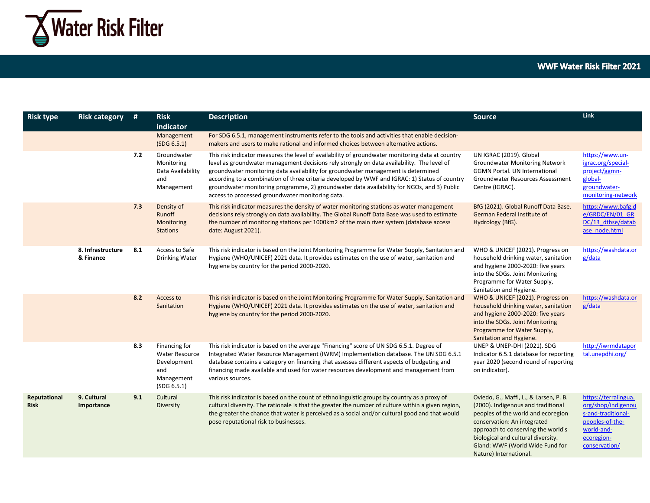

| <b>Risk type</b>            | <b>Risk category</b>           | #   | <b>Risk</b><br>indicator                                                                  | <b>Description</b>                                                                                                                                                                                                                                                                                                                                                                                                                                                                                                                     | <b>Source</b>                                                                                                                                                                                                                                                                              | Link                                                                                                                             |
|-----------------------------|--------------------------------|-----|-------------------------------------------------------------------------------------------|----------------------------------------------------------------------------------------------------------------------------------------------------------------------------------------------------------------------------------------------------------------------------------------------------------------------------------------------------------------------------------------------------------------------------------------------------------------------------------------------------------------------------------------|--------------------------------------------------------------------------------------------------------------------------------------------------------------------------------------------------------------------------------------------------------------------------------------------|----------------------------------------------------------------------------------------------------------------------------------|
|                             |                                |     | Management<br>(SDG 6.5.1)                                                                 | For SDG 6.5.1, management instruments refer to the tools and activities that enable decision-<br>makers and users to make rational and informed choices between alternative actions.                                                                                                                                                                                                                                                                                                                                                   |                                                                                                                                                                                                                                                                                            |                                                                                                                                  |
|                             |                                | 7.2 | Groundwater<br>Monitoring<br>Data Availability<br>and<br>Management                       | This risk indicator measures the level of availability of groundwater monitoring data at country<br>level as groundwater management decisions rely strongly on data availability. The level of<br>groundwater monitoring data availability for groundwater management is determined<br>according to a combination of three criteria developed by WWF and IGRAC: 1) Status of country<br>groundwater monitoring programme, 2) groundwater data availability for NGOs, and 3) Public<br>access to processed groundwater monitoring data. | UN IGRAC (2019). Global<br><b>Groundwater Monitoring Network</b><br><b>GGMN Portal. UN International</b><br>Groundwater Resources Assessment<br>Centre (IGRAC).                                                                                                                            | https://www.un-<br>igrac.org/special-<br>project/ggmn-<br>global-<br>groundwater-<br>monitoring-network                          |
|                             |                                | 7.3 | Density of<br>Runoff<br>Monitoring<br><b>Stations</b>                                     | This risk indicator measures the density of water monitoring stations as water management<br>decisions rely strongly on data availability. The Global Runoff Data Base was used to estimate<br>the number of monitoring stations per 1000km2 of the main river system (database access<br>date: August 2021).                                                                                                                                                                                                                          | BfG (2021). Global Runoff Data Base.<br>German Federal Institute of<br>Hydrology (BfG).                                                                                                                                                                                                    | https://www.bafg.d<br>e/GRDC/EN/01 GR<br>DC/13 dtbse/datab<br>ase node.html                                                      |
|                             | 8. Infrastructure<br>& Finance | 8.1 | Access to Safe<br>Drinking Water                                                          | This risk indicator is based on the Joint Monitoring Programme for Water Supply, Sanitation and<br>Hygiene (WHO/UNICEF) 2021 data. It provides estimates on the use of water, sanitation and<br>hygiene by country for the period 2000-2020.                                                                                                                                                                                                                                                                                           | WHO & UNICEF (2021). Progress on<br>household drinking water, sanitation<br>and hygiene 2000-2020: five years<br>into the SDGs. Joint Monitoring<br>Programme for Water Supply,<br>Sanitation and Hygiene.                                                                                 | https://washdata.or<br>g/data                                                                                                    |
|                             |                                | 8.2 | Access to<br>Sanitation                                                                   | This risk indicator is based on the Joint Monitoring Programme for Water Supply, Sanitation and<br>Hygiene (WHO/UNICEF) 2021 data. It provides estimates on the use of water, sanitation and<br>hygiene by country for the period 2000-2020.                                                                                                                                                                                                                                                                                           | WHO & UNICEF (2021). Progress on<br>household drinking water, sanitation<br>and hygiene 2000-2020: five years<br>into the SDGs. Joint Monitoring<br>Programme for Water Supply,<br>Sanitation and Hygiene.                                                                                 | https://washdata.or<br>g/data                                                                                                    |
|                             |                                | 8.3 | Financing for<br><b>Water Resource</b><br>Development<br>and<br>Management<br>(SDG 6.5.1) | This risk indicator is based on the average "Financing" score of UN SDG 6.5.1. Degree of<br>Integrated Water Resource Management (IWRM) Implementation database. The UN SDG 6.5.1<br>database contains a category on financing that assesses different aspects of budgeting and<br>financing made available and used for water resources development and management from<br>various sources.                                                                                                                                           | <b>UNEP &amp; UNEP-DHI (2021). SDG</b><br>Indicator 6.5.1 database for reporting<br>year 2020 (second round of reporting<br>on indicator).                                                                                                                                                 | http://iwrmdatapor<br>tal.unepdhi.org/                                                                                           |
| Reputational<br><b>Risk</b> | 9. Cultural<br>Importance      | 9.1 | Cultural<br>Diversity                                                                     | This risk indicator is based on the count of ethnolinguistic groups by country as a proxy of<br>cultural diversity. The rationale is that the greater the number of culture within a given region,<br>the greater the chance that water is perceived as a social and/or cultural good and that would<br>pose reputational risk to businesses.                                                                                                                                                                                          | Oviedo, G., Maffi, L., & Larsen, P. B.<br>(2000). Indigenous and traditional<br>peoples of the world and ecoregion<br>conservation: An integrated<br>approach to conserving the world's<br>biological and cultural diversity.<br>Gland: WWF (World Wide Fund for<br>Nature) International. | https://terralingua.<br>org/shop/indigenou<br>s-and-traditional-<br>peoples-of-the-<br>world-and-<br>ecoregion-<br>conservation/ |